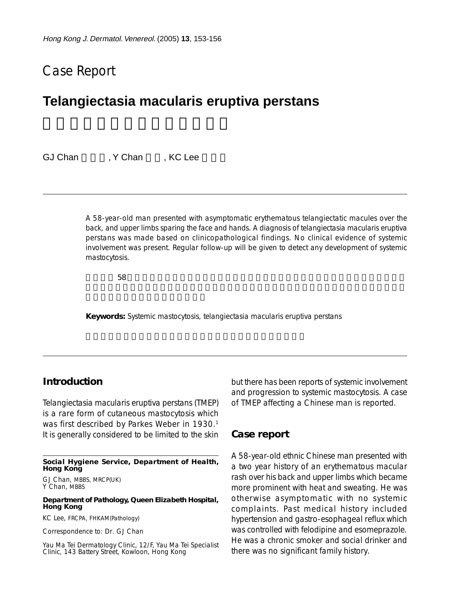# Case Report

## **Telangiectasia macularis eruptiva perstans**

GJ Chan FC Y Chan FC Lee

A 58-year-old man presented with asymptomatic erythematous telangiectatic macules over the back, and upper limbs sparing the face and hands. A diagnosis of telangiectasia macularis eruptiva perstans was made based on clinicopathological findings. No clinical evidence of systemic involvement was present. Regular follow-up will be given to detect any development of systemic mastocytosis.

 $58$ 

**Keywords:** Systemic mastocytosis, telangiectasia macularis eruptiva perstans

### **Introduction**

Telangiectasia macularis eruptiva perstans (TMEP) is a rare form of cutaneous mastocytosis which was first described by Parkes Weber in 1930.<sup>1</sup> It is generally considered to be limited to the skin

#### **Social Hygiene Service, Department of Health, Hong Kong**

GJ Chan, MBBS, MRCP(UK) Y Chan, MBBS

#### **Department of Pathology, Queen Elizabeth Hospital, Hong Kong**

KC Lee, FRCPA, FHKAM(Pathology)

Correspondence to: Dr. GJ Chan

Yau Ma Tei Dermatology Clinic, 12/F, Yau Ma Tei Specialist Clinic, 143 Battery Street, Kowloon, Hong Kong

but there has been reports of systemic involvement and progression to systemic mastocytosis. A case of TMEP affecting a Chinese man is reported.

### **Case report**

A 58-year-old ethnic Chinese man presented with a two year history of an erythematous macular rash over his back and upper limbs which became more prominent with heat and sweating. He was otherwise asymptomatic with no systemic complaints. Past medical history included hypertension and gastro-esophageal reflux which was controlled with felodipine and esomeprazole. He was a chronic smoker and social drinker and there was no significant family history.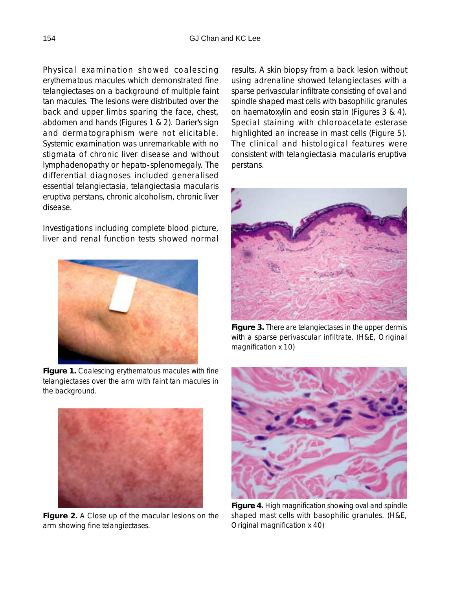Physical examination showed coalescing erythematous macules which demonstrated fine telangiectases on a background of multiple faint tan macules. The lesions were distributed over the back and upper limbs sparing the face, chest, abdomen and hands (Figures 1 & 2). Darier's sign and dermatographism were not elicitable. Systemic examination was unremarkable with no stigmata of chronic liver disease and without lymphadenopathy or hepato-splenomegaly. The differential diagnoses included generalised essential telangiectasia, telangiectasia macularis eruptiva perstans, chronic alcoholism, chronic liver disease.

Investigations including complete blood picture, liver and renal function tests showed normal



**Figure 1.** Coalescing erythematous macules with fine telangiectases over the arm with faint tan macules in the background.



**Figure 2.** A Close up of the macular lesions on the arm showing fine telangiectases.

results. A skin biopsy from a back lesion without using adrenaline showed telangiectases with a sparse perivascular infiltrate consisting of oval and spindle shaped mast cells with basophilic granules on haematoxylin and eosin stain (Figures 3 & 4). Special staining with chloroacetate esterase highlighted an increase in mast cells (Figure 5). The clinical and histological features were consistent with telangiectasia macularis eruptiva perstans.



**Figure 3.** There are telangiectases in the upper dermis with a sparse perivascular infiltrate. (H&E, Original magnification x 10)



**Figure 4.** High magnification showing oval and spindle shaped mast cells with basophilic granules. (H&E, Original magnification x 40)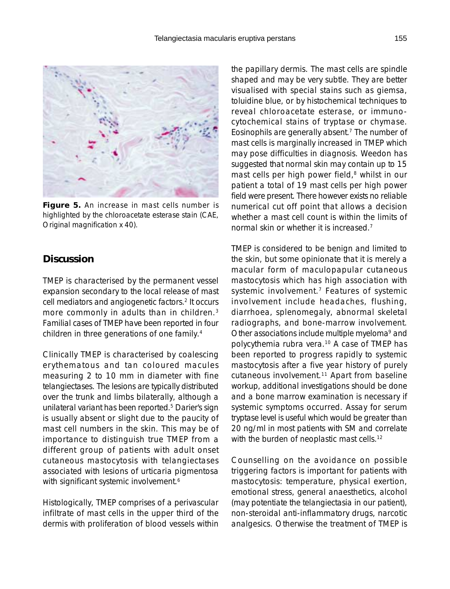

**Figure 5.** An increase in mast cells number is highlighted by the chloroacetate esterase stain (CAE, Original magnification x 40).

## **Discussion**

TMEP is characterised by the permanent vessel expansion secondary to the local release of mast cell mediators and angiogenetic factors.2 It occurs more commonly in adults than in children.<sup>3</sup> Familial cases of TMEP have been reported in four children in three generations of one family.4

Clinically TMEP is characterised by coalescing erythematous and tan coloured macules measuring 2 to 10 mm in diameter with fine telangiectases. The lesions are typically distributed over the trunk and limbs bilaterally, although a unilateral variant has been reported.<sup>5</sup> Darier's sign is usually absent or slight due to the paucity of mast cell numbers in the skin. This may be of importance to distinguish true TMEP from a different group of patients with adult onset cutaneous mastocytosis with telangiectases associated with lesions of urticaria pigmentosa with significant systemic involvement.<sup>6</sup>

Histologically, TMEP comprises of a perivascular infiltrate of mast cells in the upper third of the dermis with proliferation of blood vessels within

the papillary dermis. The mast cells are spindle shaped and may be very subtle. They are better visualised with special stains such as giemsa, toluidine blue, or by histochemical techniques to reveal chloroacetate esterase, or immunocytochemical stains of tryptase or chymase. Eosinophils are generally absent.7 The number of mast cells is marginally increased in TMEP which may pose difficulties in diagnosis. Weedon has suggested that normal skin may contain up to 15 mast cells per high power field,<sup>8</sup> whilst in our patient a total of 19 mast cells per high power field were present. There however exists no reliable numerical cut off point that allows a decision whether a mast cell count is within the limits of normal skin or whether it is increased.7

TMEP is considered to be benign and limited to the skin, but some opinionate that it is merely a macular form of maculopapular cutaneous mastocytosis which has high association with systemic involvement.7 Features of systemic involvement include headaches, flushing, diarrhoea, splenomegaly, abnormal skeletal radiographs, and bone-marrow involvement. Other associations include multiple myeloma<sup>9</sup> and polycythemia rubra vera.10 A case of TMEP has been reported to progress rapidly to systemic mastocytosis after a five year history of purely cutaneous involvement.11 Apart from baseline workup, additional investigations should be done and a bone marrow examination is necessary if systemic symptoms occurred. Assay for serum tryptase level is useful which would be greater than 20 ng/ml in most patients with SM and correlate with the burden of neoplastic mast cells.<sup>12</sup>

Counselling on the avoidance on possible triggering factors is important for patients with mastocytosis: temperature, physical exertion, emotional stress, general anaesthetics, alcohol (may potentiate the telangiectasia in our patient), non-steroidal anti-inflammatory drugs, narcotic analgesics. Otherwise the treatment of TMEP is